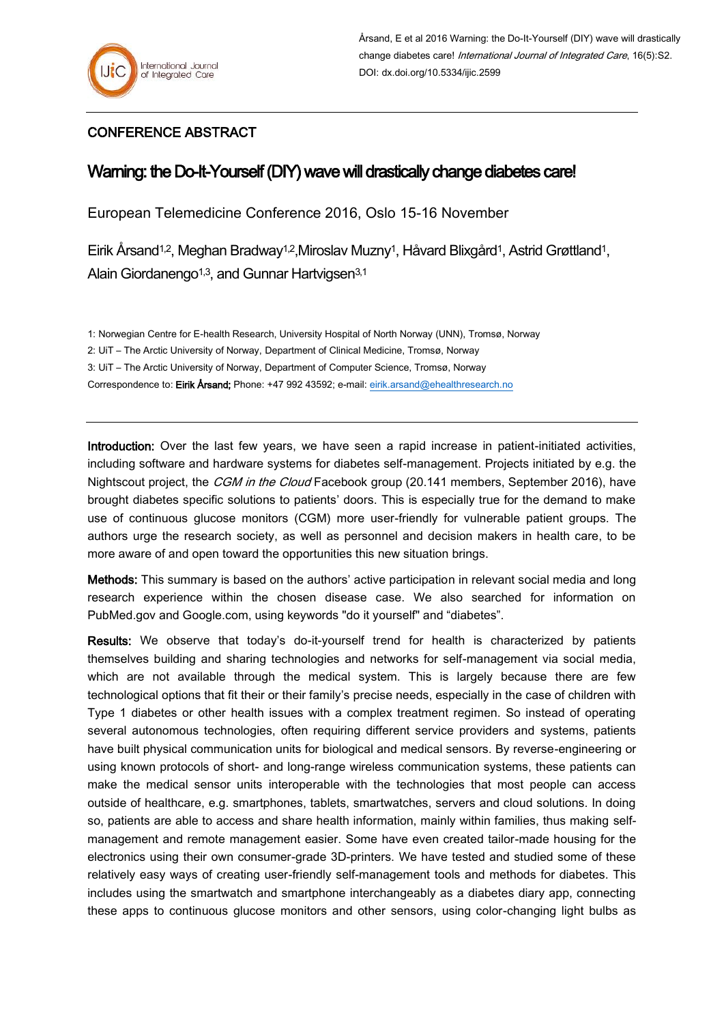## CONFERENCE ABSTRACT

## Warning: the Do-It-Yourself (DIY) wave will drastically change diabetes care!

European Telemedicine Conference 2016, Oslo 15-16 November

Eirik Årsand1,2, Meghan Bradway1,2,Miroslav Muzny1, Håvard Blixgård1, Astrid Grøttland1, Alain Giordanengo<sup>1,3</sup>, and Gunnar Hartvigsen<sup>3,1</sup>

1: Norwegian Centre for E-health Research, University Hospital of North Norway (UNN), Tromsø, Norway

2: UiT – The Arctic University of Norway, Department of Clinical Medicine, Tromsø, Norway

3: UiT – The Arctic University of Norway, Department of Computer Science, Tromsø, Norway

Correspondence to: Eirik Årsand; Phone: +47 992 43592; e-mail: [eirik.arsand@ehealthresearch.no](mailto:eirik.arsand@ehealthresearch.no)

Introduction: Over the last few years, we have seen a rapid increase in patient-initiated activities, including software and hardware systems for diabetes self-management. Projects initiated by e.g. the Nightscout project, the *CGM in the Cloud* Facebook group (20.141 members, September 2016), have brought diabetes specific solutions to patients' doors. This is especially true for the demand to make use of continuous glucose monitors (CGM) more user-friendly for vulnerable patient groups. The authors urge the research society, as well as personnel and decision makers in health care, to be more aware of and open toward the opportunities this new situation brings.

Methods: This summary is based on the authors' active participation in relevant social media and long research experience within the chosen disease case. We also searched for information on PubMed.gov and Google.com, using keywords "do it yourself" and "diabetes".

Results: We observe that today's do-it-yourself trend for health is characterized by patients themselves building and sharing technologies and networks for self-management via social media, which are not available through the medical system. This is largely because there are few technological options that fit their or their family's precise needs, especially in the case of children with Type 1 diabetes or other health issues with a complex treatment regimen. So instead of operating several autonomous technologies, often requiring different service providers and systems, patients have built physical communication units for biological and medical sensors. By reverse-engineering or using known protocols of short- and long-range wireless communication systems, these patients can make the medical sensor units interoperable with the technologies that most people can access outside of healthcare, e.g. smartphones, tablets, smartwatches, servers and cloud solutions. In doing so, patients are able to access and share health information, mainly within families, thus making selfmanagement and remote management easier. Some have even created tailor-made housing for the electronics using their own consumer-grade 3D-printers. We have tested and studied some of these relatively easy ways of creating user-friendly self-management tools and methods for diabetes. This includes using the smartwatch and smartphone interchangeably as a diabetes diary app, connecting these apps to continuous glucose monitors and other sensors, using color-changing light bulbs as